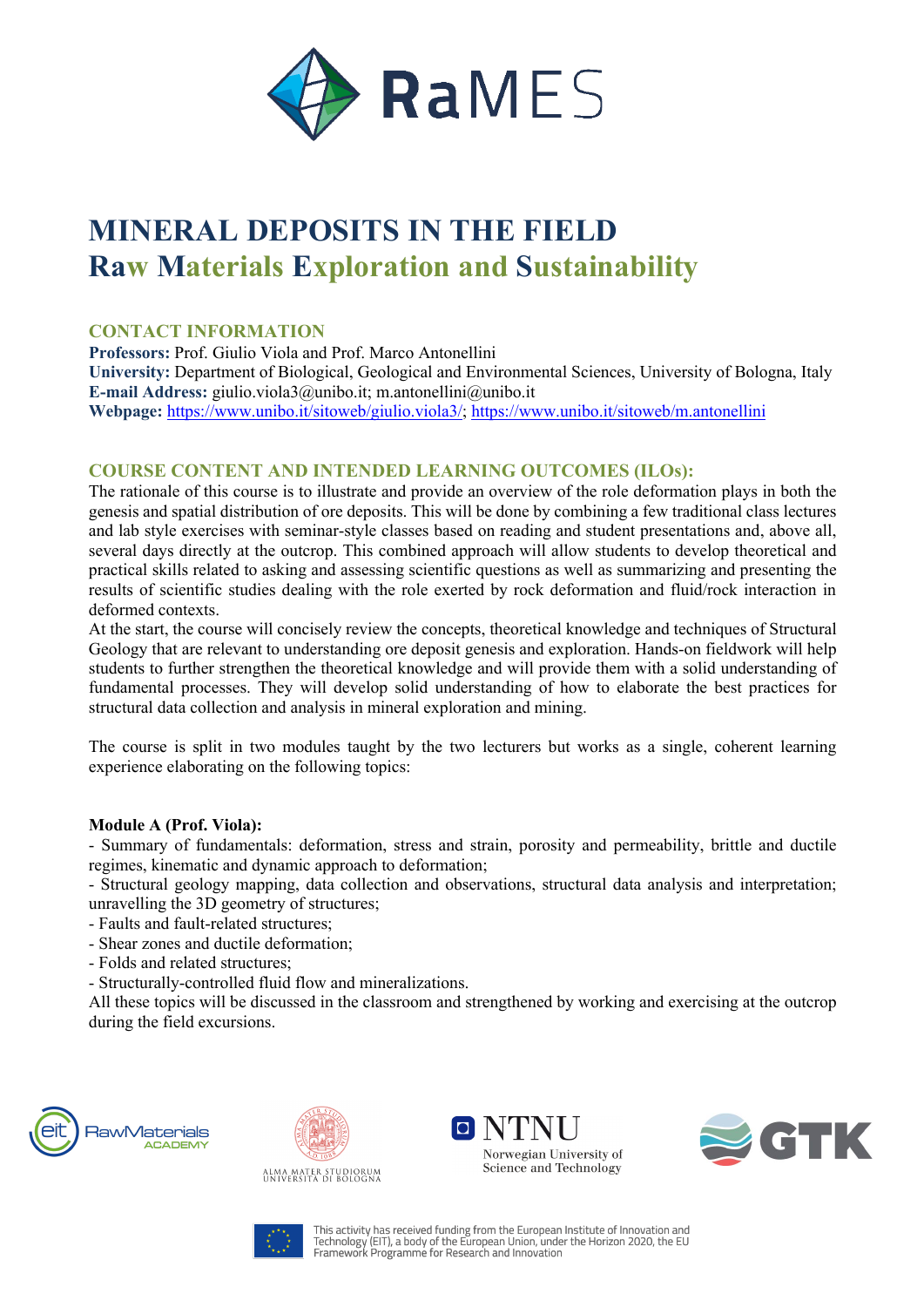

# **MINERAL DEPOSITS IN THE FIELD Raw Materials Exploration and Sustainability**

## **CONTACT INFORMATION**

**Professors:** Prof. Giulio Viola and Prof. Marco Antonellini **University:** Department of Biological, Geological and Environmental Sciences, University of Bologna, Italy **E-mail Address:** giulio.viola3@unibo.it; m.antonellini@unibo.it **Webpage:** https://www.unibo.it/sitoweb/giulio.viola3/; https://www.unibo.it/sitoweb/m.antonellini

## **COURSE CONTENT AND INTENDED LEARNING OUTCOMES (ILOs):**

The rationale of this course is to illustrate and provide an overview of the role deformation plays in both the genesis and spatial distribution of ore deposits. This will be done by combining a few traditional class lectures and lab style exercises with seminar-style classes based on reading and student presentations and, above all, several days directly at the outcrop. This combined approach will allow students to develop theoretical and practical skills related to asking and assessing scientific questions as well as summarizing and presenting the results of scientific studies dealing with the role exerted by rock deformation and fluid/rock interaction in deformed contexts.

At the start, the course will concisely review the concepts, theoretical knowledge and techniques of Structural Geology that are relevant to understanding ore deposit genesis and exploration. Hands-on fieldwork will help students to further strengthen the theoretical knowledge and will provide them with a solid understanding of fundamental processes. They will develop solid understanding of how to elaborate the best practices for structural data collection and analysis in mineral exploration and mining.

The course is split in two modules taught by the two lecturers but works as a single, coherent learning experience elaborating on the following topics:

## **Module A (Prof. Viola):**

- Summary of fundamentals: deformation, stress and strain, porosity and permeability, brittle and ductile regimes, kinematic and dynamic approach to deformation;

- Structural geology mapping, data collection and observations, structural data analysis and interpretation; unravelling the 3D geometry of structures;

- Faults and fault-related structures;
- Shear zones and ductile deformation;
- Folds and related structures;
- Structurally-controlled fluid flow and mineralizations.

All these topics will be discussed in the classroom and strengthened by working and exercising at the outcrop during the field excursions.









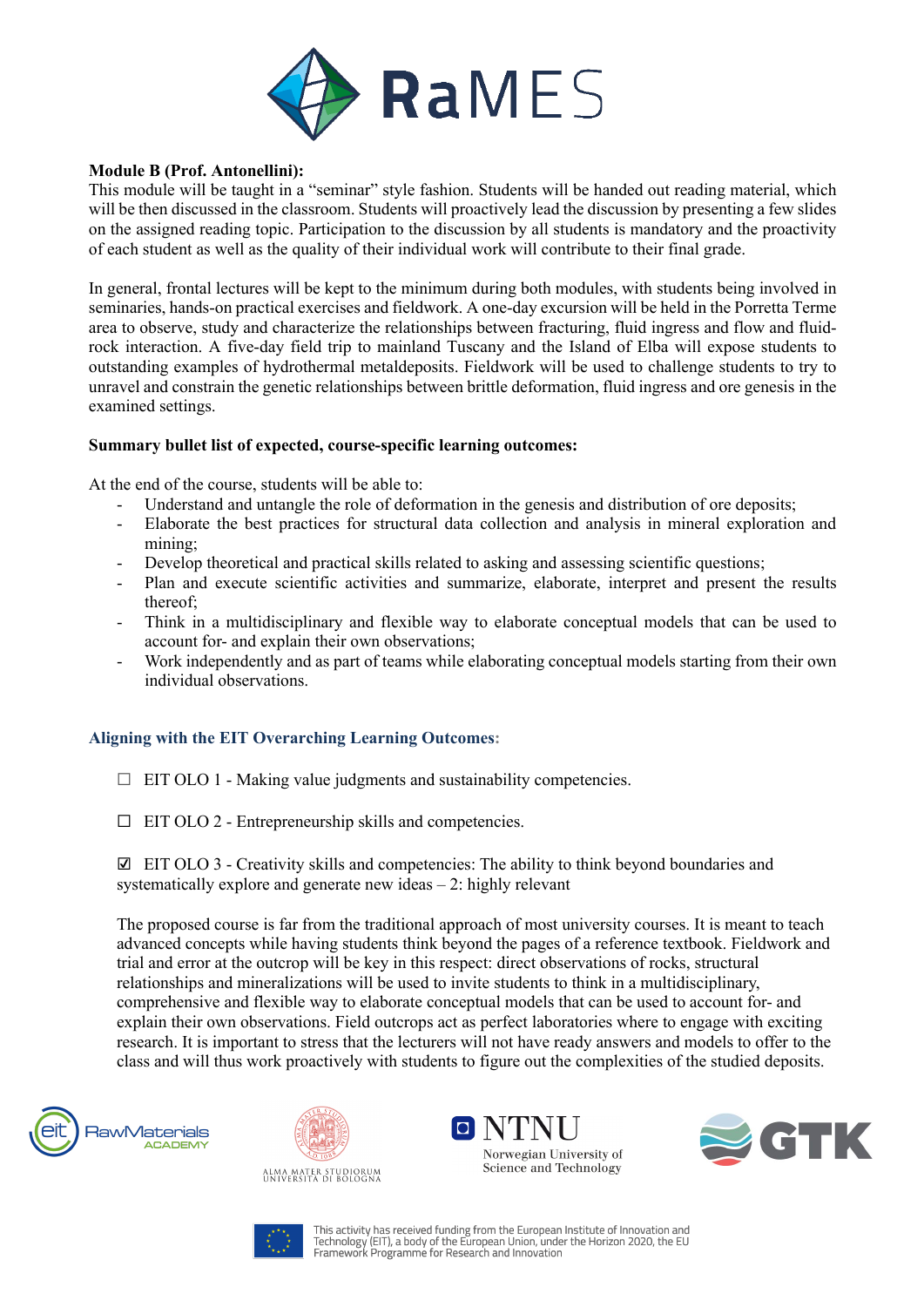

#### **Module B (Prof. Antonellini):**

This module will be taught in a "seminar" style fashion. Students will be handed out reading material, which will be then discussed in the classroom. Students will proactively lead the discussion by presenting a few slides on the assigned reading topic. Participation to the discussion by all students is mandatory and the proactivity of each student as well as the quality of their individual work will contribute to their final grade.

In general, frontal lectures will be kept to the minimum during both modules, with students being involved in seminaries, hands-on practical exercises and fieldwork. A one-day excursion will be held in the Porretta Terme area to observe, study and characterize the relationships between fracturing, fluid ingress and flow and fluidrock interaction. A five-day field trip to mainland Tuscany and the Island of Elba will expose students to outstanding examples of hydrothermal metaldeposits. Fieldwork will be used to challenge students to try to unravel and constrain the genetic relationships between brittle deformation, fluid ingress and ore genesis in the examined settings.

#### **Summary bullet list of expected, course-specific learning outcomes:**

At the end of the course, students will be able to:

- Understand and untangle the role of deformation in the genesis and distribution of ore deposits;
- Elaborate the best practices for structural data collection and analysis in mineral exploration and mining;
- Develop theoretical and practical skills related to asking and assessing scientific questions;
- Plan and execute scientific activities and summarize, elaborate, interpret and present the results thereof;
- Think in a multidisciplinary and flexible way to elaborate conceptual models that can be used to account for- and explain their own observations;
- Work independently and as part of teams while elaborating conceptual models starting from their own individual observations.

## **Aligning with the EIT Overarching Learning Outcomes:**

- $\Box$  EIT OLO 1 Making value judgments and sustainability competencies.
- $\Box$  EIT OLO 2 Entrepreneurship skills and competencies.

 $\boxtimes$  EIT OLO 3 - Creativity skills and competencies: The ability to think beyond boundaries and systematically explore and generate new ideas – 2: highly relevant

The proposed course is far from the traditional approach of most university courses. It is meant to teach advanced concepts while having students think beyond the pages of a reference textbook. Fieldwork and trial and error at the outcrop will be key in this respect: direct observations of rocks, structural relationships and mineralizations will be used to invite students to think in a multidisciplinary, comprehensive and flexible way to elaborate conceptual models that can be used to account for- and explain their own observations. Field outcrops act as perfect laboratories where to engage with exciting research. It is important to stress that the lecturers will not have ready answers and models to offer to the class and will thus work proactively with students to figure out the complexities of the studied deposits.











This activity has received funding from the European Institute of Innovation and This activity has received funding from the European Union, under the Horizon 2020, the EU<br>Framework Programme for Research and Innovation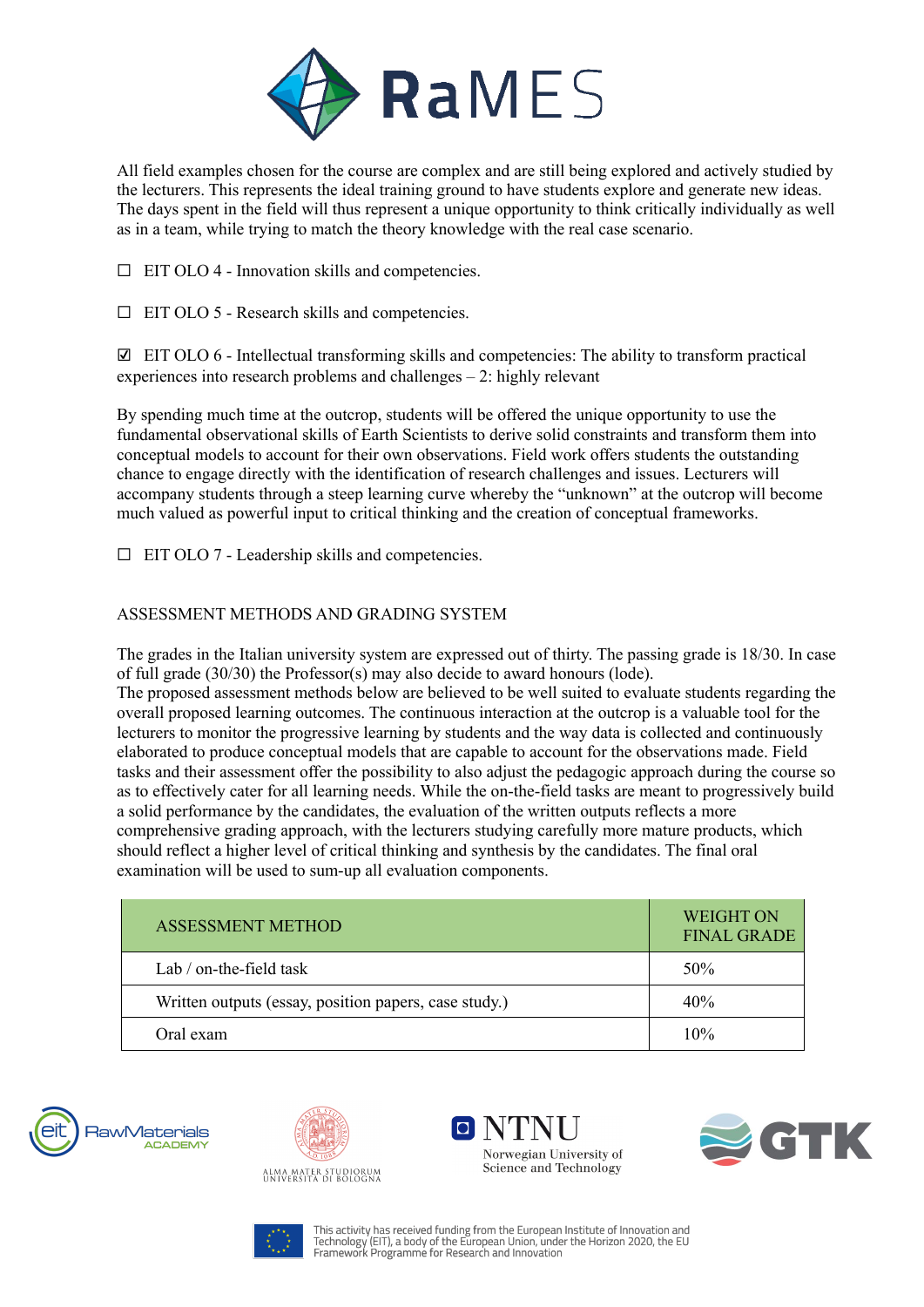

All field examples chosen for the course are complex and are still being explored and actively studied by the lecturers. This represents the ideal training ground to have students explore and generate new ideas. The days spent in the field will thus represent a unique opportunity to think critically individually as well as in a team, while trying to match the theory knowledge with the real case scenario.

 $\Box$  EIT OLO 4 - Innovation skills and competencies.

 $\Box$  EIT OLO 5 - Research skills and competencies.

☑ EIT OLO 6 - Intellectual transforming skills and competencies: The ability to transform practical experiences into research problems and challenges – 2: highly relevant

By spending much time at the outcrop, students will be offered the unique opportunity to use the fundamental observational skills of Earth Scientists to derive solid constraints and transform them into conceptual models to account for their own observations. Field work offers students the outstanding chance to engage directly with the identification of research challenges and issues. Lecturers will accompany students through a steep learning curve whereby the "unknown" at the outcrop will become much valued as powerful input to critical thinking and the creation of conceptual frameworks.

 $\Box$  EIT OLO 7 - Leadership skills and competencies.

## ASSESSMENT METHODS AND GRADING SYSTEM

The grades in the Italian university system are expressed out of thirty. The passing grade is 18/30. In case of full grade (30/30) the Professor(s) may also decide to award honours (lode).

The proposed assessment methods below are believed to be well suited to evaluate students regarding the overall proposed learning outcomes. The continuous interaction at the outcrop is a valuable tool for the lecturers to monitor the progressive learning by students and the way data is collected and continuously elaborated to produce conceptual models that are capable to account for the observations made. Field tasks and their assessment offer the possibility to also adjust the pedagogic approach during the course so as to effectively cater for all learning needs. While the on-the-field tasks are meant to progressively build a solid performance by the candidates, the evaluation of the written outputs reflects a more comprehensive grading approach, with the lecturers studying carefully more mature products, which should reflect a higher level of critical thinking and synthesis by the candidates. The final oral examination will be used to sum-up all evaluation components.

| ASSESSMENT METHOD                                     | <b>WEIGHT ON</b><br><b>FINAL GRADE</b> |
|-------------------------------------------------------|----------------------------------------|
| Lab $/$ on-the-field task                             | 50%                                    |
| Written outputs (essay, position papers, case study.) | 40%                                    |
| Oral exam                                             | 10%                                    |





VTNI Norwegian University of Science and Technology